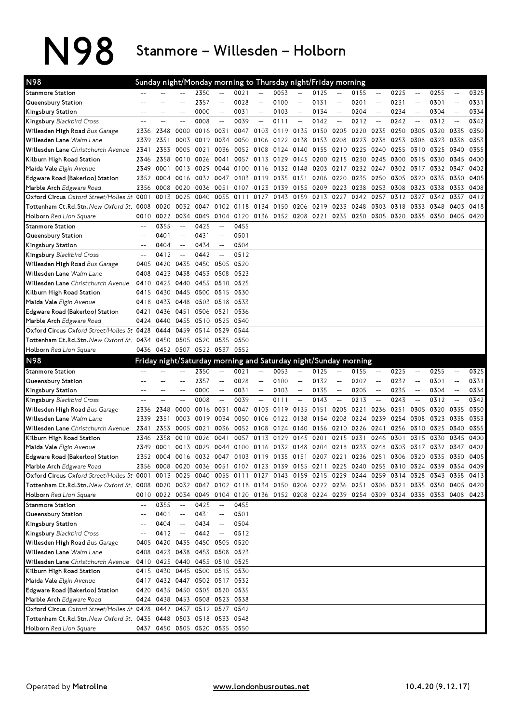N98 Stanmore – Willesden – Holborn

| <b>N98</b>                                                                                                                                                                                                                                    |                |                | Sunday night/Monday morning to Thursday night/Friday morning                              |              |                                 |              |                                                                          |                |                          |                          |                                            |                   |                          |      |                                                     |      |                                 |              |
|-----------------------------------------------------------------------------------------------------------------------------------------------------------------------------------------------------------------------------------------------|----------------|----------------|-------------------------------------------------------------------------------------------|--------------|---------------------------------|--------------|--------------------------------------------------------------------------|----------------|--------------------------|--------------------------|--------------------------------------------|-------------------|--------------------------|------|-----------------------------------------------------|------|---------------------------------|--------------|
| <b>Stanmore Station</b>                                                                                                                                                                                                                       |                |                |                                                                                           | 2350         |                                 | 0021         |                                                                          | 0053           |                          | 0125                     |                                            | 0155              | $ \!-$                   | 0225 | $\hspace{0.05cm} -\hspace{0.05cm} -\hspace{0.05cm}$ | 0255 | $\qquad \qquad -$               | 0325         |
| Queensbury Station                                                                                                                                                                                                                            |                |                |                                                                                           | 2357         | $\overline{a}$                  | 0028         | $-$                                                                      | 0100           | $-$                      | 0131                     | $\overline{a}$                             | 0201              | $\overline{\phantom{a}}$ | 0231 | $\overline{a}$                                      | 0301 | $\overline{a}$                  | 0331         |
| Kingsbury Station                                                                                                                                                                                                                             | --             |                | --                                                                                        | 0000         | $\overline{\phantom{a}}$        | 0031         | $- -$                                                                    | 0103           | $-\!$                    | 0134                     | $\overline{\phantom{a}}$                   | 0204              | $\qquad \qquad -$        | 0234 | $\overline{\phantom{a}}$                            | 0304 | $\overline{\phantom{a}}$        | 0334         |
| Kingsbury Blackbird Cross                                                                                                                                                                                                                     | $-$            | ۵.             | $-$                                                                                       | 0008         | $\overline{a}$                  | 0039         | $\overline{\phantom{a}}$                                                 | 0111           | $\overline{\phantom{a}}$ | 0142                     | $\overline{a}$                             | 0212              | $\overline{\phantom{a}}$ | 0242 | $\overline{a}$                                      | 0312 | $\overline{a}$                  | 0342         |
| Willesden High Road Bus Garage                                                                                                                                                                                                                | 2336           | 2348           | 0000                                                                                      | 0016         | 0031                            | 0047         | 0103                                                                     | 0119 0135      |                          | 0150 0205                |                                            | 0220              | 0235                     | 0250 | 0305                                                | 0320 | 0335                            | 0350         |
| Willesden Lane Walm Lane                                                                                                                                                                                                                      | 2339           | 2351           | 0003                                                                                      | 0019         | 0034                            | 0050         | 0106                                                                     | 0122 0138      |                          | 0153                     | 0208                                       | 0223              | 0238                     | 0253 | 0308                                                | 0323 | 0338                            | 0353         |
| Willesden Lane Christchurch Avenue                                                                                                                                                                                                            | 2341           | 2353           | 0005 0021                                                                                 |              | 0036                            | 0052         | 0108                                                                     | 0124 0140      |                          | 0155                     | 0210                                       | 0225              | 0240                     | 0255 | 0310                                                | 0325 | 0340                            | 0355         |
| Kilburn High Road Station                                                                                                                                                                                                                     | 2346           | 2358           | 0010 0026                                                                                 |              | 0041                            | 0057         | 0113                                                                     | 0129           | 0145                     | 0200                     | 0215                                       | 0230              | 0245                     | 0300 | 0315 0330                                           |      | 0345                            | 0400         |
| Maida Vale Elgin Avenue                                                                                                                                                                                                                       | 2349           | 0001           | 0013 0029                                                                                 |              | 0044                            | 0100         | 0116                                                                     | 0132 0148      |                          | 0203                     | 0217                                       | 0232              | 0247                     | 0302 | 0317 0332                                           |      | 0347                            | 0402         |
| Edgware Road (Bakerloo) Station                                                                                                                                                                                                               | 2352           | 0004           | 0016 0032                                                                                 |              | 0047                            | 0103         | 0119                                                                     | 0135 0151      |                          | 0206                     | 0220                                       | 0235              | 0250                     | 0305 | 0320                                                | 0335 | 0350                            | 0405         |
| Marble Arch Edgware Road                                                                                                                                                                                                                      | 2356           | 0008           | 0020                                                                                      | 0036         | 0051                            | 0107         | 0123                                                                     |                |                          | 0139 0155 0209 0223 0238 |                                            |                   | 0253                     | 0308 | 0323 0338                                           |      | 0353                            | 0408         |
| Oxford Circus Oxford Street/Holles St. 0001                                                                                                                                                                                                   |                | 0013           | 0025                                                                                      | 0040         | 0055                            | 0111         | 0127                                                                     | 0143           | 0159                     | 0213                     | 0227                                       | 0242              | 0257                     | 0312 | 0327                                                | 0342 | 0357                            | 0412         |
| Tottenham Ct.Rd.Stn.New Oxford St. 0008                                                                                                                                                                                                       |                | 0020           | 0032                                                                                      | 0047         | 0102                            | 0118         | 0134                                                                     | 0150           | 0206                     | 0219                     | 0233                                       | 0248              | 0303                     | 0318 | 0333                                                | 0348 | 0403                            | 0418         |
| Holborn Red Lion Square                                                                                                                                                                                                                       | 0010           | 0022           | 0034 0049                                                                                 |              | 0104                            | 0120 0136    |                                                                          | 0152 0208 0221 |                          |                          | 0235                                       | 0250              | 0305                     | 0320 | 0335 0350                                           |      | 0405                            | 0420         |
| <b>Stanmore Station</b>                                                                                                                                                                                                                       | --             | 0355           | $-$                                                                                       | 0425         | $\overline{a}$                  | 0455         |                                                                          |                |                          |                          |                                            |                   |                          |      |                                                     |      |                                 |              |
| Queensbury Station                                                                                                                                                                                                                            | $-$            | 0401           | $-$                                                                                       | 0431         | $\qquad \qquad -$               | 0501         |                                                                          |                |                          |                          |                                            |                   |                          |      |                                                     |      |                                 |              |
| Kingsbury Station                                                                                                                                                                                                                             | $\overline{a}$ | 0404           | $-\!$                                                                                     | 0434         | $\qquad \qquad -$               | 0504         |                                                                          |                |                          |                          |                                            |                   |                          |      |                                                     |      |                                 |              |
| Kingsbury Blackbird Cross                                                                                                                                                                                                                     | $-$            | 0412           | $-$                                                                                       | 0442         | $\qquad \qquad -$               | 0512         |                                                                          |                |                          |                          |                                            |                   |                          |      |                                                     |      |                                 |              |
| Willesden High Road Bus Garage                                                                                                                                                                                                                | 0405           | 0420           | 0435                                                                                      | 0450         | 0505                            | 0520         |                                                                          |                |                          |                          |                                            |                   |                          |      |                                                     |      |                                 |              |
| Willesden Lane Walm Lane                                                                                                                                                                                                                      | 0408           | 0423           | 0438                                                                                      | 0453         | 0508                            | 0523         |                                                                          |                |                          |                          |                                            |                   |                          |      |                                                     |      |                                 |              |
| Willesden Lane Christchurch Avenue                                                                                                                                                                                                            | 0410           | 0425           | 0440                                                                                      | 0455         | 0510 0525                       |              |                                                                          |                |                          |                          |                                            |                   |                          |      |                                                     |      |                                 |              |
| Kilburn High Road Station                                                                                                                                                                                                                     | 0415           | 0430           | 0445                                                                                      | 0500         | 0515                            | 0530         |                                                                          |                |                          |                          |                                            |                   |                          |      |                                                     |      |                                 |              |
| Maida Vale Elgin Avenue                                                                                                                                                                                                                       | 0418           | 0433           | 0448 0503                                                                                 |              | 0518                            | 0533         |                                                                          |                |                          |                          |                                            |                   |                          |      |                                                     |      |                                 |              |
| Edgware Road (Bakerloo) Station                                                                                                                                                                                                               | 0421           | 0436           | 0451                                                                                      | 0506         | 0521                            | 0536         |                                                                          |                |                          |                          |                                            |                   |                          |      |                                                     |      |                                 |              |
| Marble Arch Edgware Road                                                                                                                                                                                                                      | 0424           | 0440           | 0455 0510                                                                                 |              | 0525 0540                       |              |                                                                          |                |                          |                          |                                            |                   |                          |      |                                                     |      |                                 |              |
| Oxford Circus Oxford Street/Holles St. 0428                                                                                                                                                                                                   |                | 0444           | 0459 0514                                                                                 |              | 0529                            | 0544         |                                                                          |                |                          |                          |                                            |                   |                          |      |                                                     |      |                                 |              |
| Tottenham Ct.Rd.Stn.New Oxford St. 0434                                                                                                                                                                                                       |                | 0450           | 0505 0520                                                                                 |              | 0535 0550                       |              |                                                                          |                |                          |                          |                                            |                   |                          |      |                                                     |      |                                 |              |
| Holborn Red Lion Square                                                                                                                                                                                                                       | 0436           |                | 0452 0507 0522 0537 0552                                                                  |              |                                 |              |                                                                          |                |                          |                          |                                            |                   |                          |      |                                                     |      |                                 |              |
|                                                                                                                                                                                                                                               |                |                |                                                                                           |              |                                 |              |                                                                          |                |                          |                          |                                            |                   |                          |      |                                                     |      |                                 |              |
|                                                                                                                                                                                                                                               |                |                |                                                                                           |              |                                 |              |                                                                          |                |                          |                          |                                            |                   |                          |      |                                                     |      |                                 |              |
| N <sub>98</sub>                                                                                                                                                                                                                               |                |                | Friday night/Saturday morning and Saturday night/Sunday morning                           |              |                                 |              |                                                                          |                |                          |                          |                                            |                   | $-$                      |      | $\overline{\phantom{a}}$                            |      | $-$                             |              |
| <b>Stanmore Station</b>                                                                                                                                                                                                                       |                |                |                                                                                           | 2350         |                                 | 0021         |                                                                          | 0053           |                          | 0125                     |                                            | 0155              |                          | 0225 |                                                     | 0255 |                                 | 0325         |
| Queensbury Station                                                                                                                                                                                                                            | --             | --             | --                                                                                        | 2357         | $-$<br>$\overline{\phantom{a}}$ | 0028         | $\hspace{0.05cm}--\hspace{0.05cm}$<br>$\hspace{0.05cm} -\hspace{0.05cm}$ | 0100           | $-$                      | 0132                     | $\overline{a}$<br>$\overline{\phantom{a}}$ | 0202              | $-$<br>$-$               | 0232 | --<br>$\overline{\phantom{a}}$                      | 0301 | $-$<br>$\overline{\phantom{a}}$ | 0331         |
| Kingsbury Station                                                                                                                                                                                                                             | $\overline{a}$ | $\overline{a}$ | $\overline{a}$                                                                            | 0000<br>0008 | $\overline{a}$                  | 0031<br>0039 | $\overline{\phantom{0}}$                                                 | 0103<br>0111   | --                       | 0135                     | $\overline{a}$                             | 0205              | $-$                      | 0235 | $\overline{\phantom{a}}$                            | 0304 | $\overline{a}$                  | 0334         |
| Kingsbury Blackbird Cross                                                                                                                                                                                                                     |                |                | 0000                                                                                      |              | 0031                            | 0047         |                                                                          |                |                          | 0143                     |                                            | 0213              |                          | 0243 |                                                     | 0312 |                                 | 0342         |
| Willesden High Road Bus Garage                                                                                                                                                                                                                | 2336<br>2339   | 2348           | 0003                                                                                      | 0016<br>0019 | 0034                            | 0050         | 0103<br>0106                                                             | 0119           | 0135                     | 0151                     | 0205                                       | 0221              | 0236                     | 0251 | 0305                                                | 0320 | 0335                            | 0350<br>0353 |
| Willesden Lane Walm Lane                                                                                                                                                                                                                      |                | 2351           |                                                                                           |              |                                 |              |                                                                          | 0122 0138      |                          | 0154                     | 0208                                       | 0224              | 0239                     | 0254 | 0308                                                | 0323 | 0338                            |              |
| Willesden Lane Christchurch Avenue                                                                                                                                                                                                            | 2341<br>2346   | 2353           | 0005 0021                                                                                 |              | 0036<br>0041                    |              | 0052 0108                                                                | 0124 0140      |                          | 0156                     | 0210                                       | 0226 0241         |                          | 0256 | 0310 0325                                           |      | 0340                            | 0355<br>0400 |
| Kilburn High Road Station                                                                                                                                                                                                                     |                | 2358           | 0010                                                                                      | 0026         |                                 | 0057         | 0113                                                                     | 0129           | 0145                     | 0201                     | 0215                                       | 0231              | 0246                     | 0301 | 0315                                                | 0330 | 0345                            |              |
| Maida Vale Elgin Avenue                                                                                                                                                                                                                       | 2349           | 0001<br>0004   | 0013<br>0016 0032                                                                         | 0029         | 0044<br>0047                    | 0100         | 0116                                                                     | 0132           | 0148                     | 0204                     | 0218                                       | 0233<br>0236 0251 | 0248                     | 0303 | 0317                                                | 0332 | 0347                            | 0402         |
| Edgware Road (Bakerloo) Station                                                                                                                                                                                                               | 2352           |                |                                                                                           |              |                                 | 0103 0119    |                                                                          |                | 0135 0151                |                          | 0207 0221                                  |                   |                          | 0306 | 0320 0335                                           |      | 0350                            | 0405         |
| Marble Arch Edgware Road                                                                                                                                                                                                                      |                |                | 2356 0008 0020 0036 0051 0107 0123 0139 0155 0211 0225 0240 0255 0310 0324 0339 0354 0409 |              |                                 |              |                                                                          |                |                          |                          |                                            |                   |                          |      |                                                     |      |                                 |              |
| Oxford Circus Oxford Street/Holles St. 0001 0013 0025 0040 0055 0111 0127 0143 0159 0215 0229 0244 0259 0314 0328 0343 0358 0413                                                                                                              |                |                |                                                                                           |              |                                 |              |                                                                          |                |                          |                          |                                            |                   |                          |      |                                                     |      |                                 |              |
| Tottenham Ct.Rd.Stn.New Oxford St. 0008 0020 0032 0047 0102 0118 0134 0150 0206 0222 0236 0251 0306 0321 0335 0350 0405 0420                                                                                                                  |                |                |                                                                                           |              |                                 |              |                                                                          |                |                          |                          |                                            |                   |                          |      |                                                     |      |                                 |              |
| Holborn Red Lion Square                                                                                                                                                                                                                       |                |                | 0010 0022 0034 0049 0104 0120 0136 0152 0208 0224 0239 0254 0309 0324 0338 0353 0408 0423 |              |                                 |              |                                                                          |                |                          |                          |                                            |                   |                          |      |                                                     |      |                                 |              |
| <b>Stanmore Station</b>                                                                                                                                                                                                                       | --             | 0355           | $\overline{\phantom{a}}$                                                                  | 0425         | $\overline{a}$                  | 0455         |                                                                          |                |                          |                          |                                            |                   |                          |      |                                                     |      |                                 |              |
| Queensbury Station                                                                                                                                                                                                                            |                | 0401           | $-$                                                                                       | 0431         | $\overline{a}$                  | 0501         |                                                                          |                |                          |                          |                                            |                   |                          |      |                                                     |      |                                 |              |
|                                                                                                                                                                                                                                               | --             | 0404           | $\qquad \qquad -$                                                                         | 0434         | $\overline{\phantom{a}}$        | 0504         |                                                                          |                |                          |                          |                                            |                   |                          |      |                                                     |      |                                 |              |
|                                                                                                                                                                                                                                               | $-$            | 0412           | $\hspace{0.05cm} -\hspace{0.05cm} -\hspace{0.05cm}$                                       | 0442         | $\overline{\phantom{a}}$        | 0512         |                                                                          |                |                          |                          |                                            |                   |                          |      |                                                     |      |                                 |              |
|                                                                                                                                                                                                                                               |                |                | 0405 0420 0435 0450 0505 0520                                                             |              |                                 |              |                                                                          |                |                          |                          |                                            |                   |                          |      |                                                     |      |                                 |              |
|                                                                                                                                                                                                                                               | 0408           |                | 0423 0438 0453 0508 0523                                                                  |              |                                 |              |                                                                          |                |                          |                          |                                            |                   |                          |      |                                                     |      |                                 |              |
|                                                                                                                                                                                                                                               |                |                | 0410 0425 0440 0455 0510 0525                                                             |              |                                 |              |                                                                          |                |                          |                          |                                            |                   |                          |      |                                                     |      |                                 |              |
|                                                                                                                                                                                                                                               |                |                | 0415 0430 0445 0500 0515 0530                                                             |              |                                 |              |                                                                          |                |                          |                          |                                            |                   |                          |      |                                                     |      |                                 |              |
|                                                                                                                                                                                                                                               |                |                | 0417 0432 0447 0502 0517 0532                                                             |              |                                 |              |                                                                          |                |                          |                          |                                            |                   |                          |      |                                                     |      |                                 |              |
| Kingsbury Station<br>Kingsbury Blackbird Cross<br>Willesden High Road Bus Garage<br>Willesden Lane Walm Lane<br>Willesden Lane Christchurch Avenue<br>Kilburn High Road Station<br>Maida Vale Elgin Avenue<br>Edgware Road (Bakerloo) Station | 0420           |                | 0435 0450 0505 0520 0535                                                                  |              |                                 |              |                                                                          |                |                          |                          |                                            |                   |                          |      |                                                     |      |                                 |              |
| Marble Arch Edgware Road                                                                                                                                                                                                                      |                |                | 0424 0438 0453 0508 0523 0538                                                             |              |                                 |              |                                                                          |                |                          |                          |                                            |                   |                          |      |                                                     |      |                                 |              |
| Oxford Circus Oxford Street/Holles St. 0428 0442 0457 0512 0527 0542                                                                                                                                                                          |                |                |                                                                                           |              |                                 |              |                                                                          |                |                          |                          |                                            |                   |                          |      |                                                     |      |                                 |              |
| Tottenham Ct.Rd.Stn.New Oxford St. 0435 0448 0503 0518 0533 0548<br>Holborn Red Lion Square                                                                                                                                                   |                |                | 0437 0450 0505 0520 0535 0550                                                             |              |                                 |              |                                                                          |                |                          |                          |                                            |                   |                          |      |                                                     |      |                                 |              |